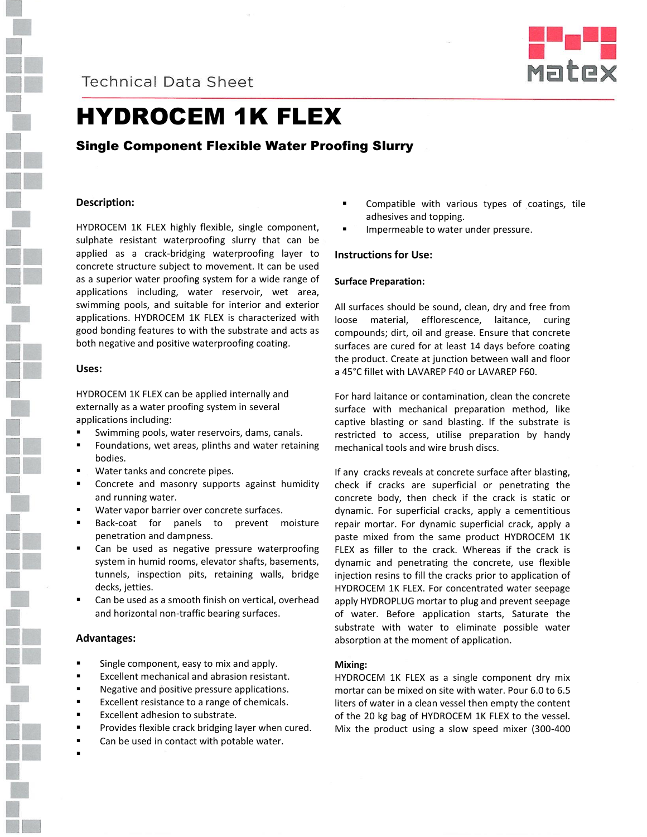

### **Technical Data Sheet**



## HYDROCEM 1K FLEX

### Single Component Flexible Water Proofing Slurry

### **Description:**

HYDROCEM 1K FLEX highly flexible, single component, sulphate resistant waterproofing slurry that can be applied as a crack-bridging waterproofing layer to concrete structure subject to movement. It can be used as a superior water proofing system for a wide range of applications including, water reservoir, wet area, swimming pools, and suitable for interior and exterior applications. HYDROCEM 1K FLEX is characterized with good bonding features to with the substrate and acts as both negative and positive waterproofing coating.

### **Uses:**

HYDROCEM 1K FLEX can be applied internally and externally as a water proofing system in several applications including:

- Swimming pools, water reservoirs, dams, canals.
- Foundations, wet areas, plinths and water retaining bodies.
- Water tanks and concrete pipes.
- Concrete and masonry supports against humidity and running water.
- Water vapor barrier over concrete surfaces.
- Back-coat for panels to prevent moisture penetration and dampness.
- Can be used as negative pressure waterproofing system in humid rooms, elevator shafts, basements, tunnels, inspection pits, retaining walls, bridge decks, jetties.
- Can be used as a smooth finish on vertical, overhead and horizontal non-traffic bearing surfaces.

### **Advantages:**

- Single component, easy to mix and apply.
- **Excellent mechanical and abrasion resistant.**
- **Negative and positive pressure applications.**
- Excellent resistance to a range of chemicals.
- Excellent adhesion to substrate.
- **Provides flexible crack bridging layer when cured.**
- Can be used in contact with potable water.
- .
- Compatible with various types of coatings, tile adhesives and topping.
- Impermeable to water under pressure.

### **Instructions for Use:**

### **Surface Preparation:**

All surfaces should be sound, clean, dry and free from loose material, efflorescence, laitance, curing compounds; dirt, oil and grease. Ensure that concrete surfaces are cured for at least 14 days before coating the product. Create at junction between wall and floor a 45°C fillet with LAVAREP F40 or LAVAREP F60.

For hard laitance or contamination, clean the concrete surface with mechanical preparation method, like captive blasting or sand blasting. If the substrate is restricted to access, utilise preparation by handy mechanical tools and wire brush discs.

If any cracks reveals at concrete surface after blasting, check if cracks are superficial or penetrating the concrete body, then check if the crack is static or dynamic. For superficial cracks, apply a cementitious repair mortar. For dynamic superficial crack, apply a paste mixed from the same product HYDROCEM 1K FLEX as filler to the crack. Whereas if the crack is dynamic and penetrating the concrete, use flexible injection resins to fill the cracks prior to application of HYDROCEM 1K FLEX. For concentrated water seepage apply HYDROPLUG mortar to plug and prevent seepage of water. Before application starts, Saturate the substrate with water to eliminate possible water absorption at the moment of application.

### **Mixing:**

HYDROCEM 1K FLEX as a single component dry mix mortar can be mixed on site with water. Pour 6.0 to 6.5 liters of water in a clean vessel then empty the content of the 20 kg bag of HYDROCEM 1K FLEX to the vessel. Mix the product using a slow speed mixer (300-400